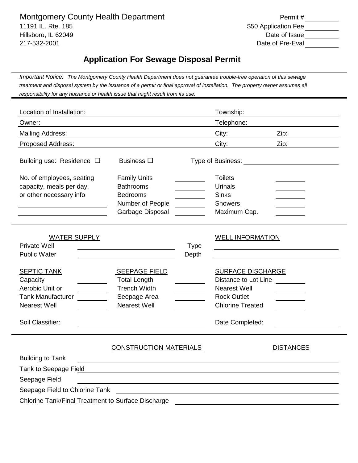Montgomery County Health Department 11191 IL. Rte. 185 Hillsboro, IL 62049 217-532-2001

Permit # \$50 Application Fee Date of Issue Date of Pre-Eval

## **Application For Sewage Disposal Permit**

*Important Notice: The Montgomery County Health Department does not guarantee trouble-free operation of this sewage treatment and disposal system by the issuance of a permit or final approval of installation. The property owner assumes all responsibility for any nuisance or health issue that might result from its use.* 

| Location of Installation:                                                                                                                                                                     |                                                                                                                                                                      |               | Township:                                                                                                                                                                      | <u> 1989 - Johann Barn, mars ann an t-Amhain Aonaich an t-Aonaich an t-Aonaich an t-Aonaich an t-Aonaich ann an t-</u> |
|-----------------------------------------------------------------------------------------------------------------------------------------------------------------------------------------------|----------------------------------------------------------------------------------------------------------------------------------------------------------------------|---------------|--------------------------------------------------------------------------------------------------------------------------------------------------------------------------------|------------------------------------------------------------------------------------------------------------------------|
| Owner:                                                                                                                                                                                        |                                                                                                                                                                      |               | Telephone:                                                                                                                                                                     |                                                                                                                        |
| <b>Mailing Address:</b>                                                                                                                                                                       |                                                                                                                                                                      |               |                                                                                                                                                                                | Zip:                                                                                                                   |
| Proposed Address:                                                                                                                                                                             |                                                                                                                                                                      |               | City:                                                                                                                                                                          | Zip:                                                                                                                   |
| Building use: Residence □                                                                                                                                                                     | Business □                                                                                                                                                           |               |                                                                                                                                                                                |                                                                                                                        |
| No. of employees, seating                                                                                                                                                                     | <b>Family Units</b>                                                                                                                                                  |               | <b>Toilets</b>                                                                                                                                                                 |                                                                                                                        |
| capacity, meals per day,<br><b>Bathrooms</b>                                                                                                                                                  |                                                                                                                                                                      |               | Urinals                                                                                                                                                                        |                                                                                                                        |
| or other necessary info                                                                                                                                                                       | <b>Bedrooms</b>                                                                                                                                                      |               | <b>Sinks</b>                                                                                                                                                                   |                                                                                                                        |
|                                                                                                                                                                                               | Number of People                                                                                                                                                     |               | Showers                                                                                                                                                                        |                                                                                                                        |
| the control of the control of the control of the control of the control of                                                                                                                    | Garbage Disposal                                                                                                                                                     |               | Maximum Cap.                                                                                                                                                                   |                                                                                                                        |
| <b>WATER SUPPLY</b><br><b>Private Well</b><br><b>Public Water</b><br><b>SEPTIC TANK</b><br>Capacity<br>Aerobic Unit or<br><b>Tank Manufacturer</b><br><b>Nearest Well</b><br>Soil Classifier: | <u> 1989 - Johann Barnett, fransk politik (d. 1989)</u><br><b>SEEPAGE FIELD</b><br><b>Total Length</b><br><b>Trench Width</b><br>Seepage Area<br><b>Nearest Well</b> | Type<br>Depth | <b>WELL INFORMATION</b><br><b>SURFACE DISCHARGE</b><br>Distance to Lot Line _______<br><b>Nearest Well</b><br><b>Rock Outlet</b><br><b>Chlorine Treated</b><br>Date Completed: |                                                                                                                        |
| <b>Building to Tank</b>                                                                                                                                                                       | <b>CONSTRUCTION MATERIALS</b>                                                                                                                                        |               |                                                                                                                                                                                | <b>DISTANCES</b>                                                                                                       |
| Tank to Seepage Field                                                                                                                                                                         |                                                                                                                                                                      |               |                                                                                                                                                                                |                                                                                                                        |
| Seepage Field                                                                                                                                                                                 |                                                                                                                                                                      |               |                                                                                                                                                                                |                                                                                                                        |
| Seepage Field to Chlorine Tank                                                                                                                                                                |                                                                                                                                                                      |               |                                                                                                                                                                                |                                                                                                                        |
| Chlorine Tank/Final Treatment to Surface Discharge                                                                                                                                            |                                                                                                                                                                      |               |                                                                                                                                                                                |                                                                                                                        |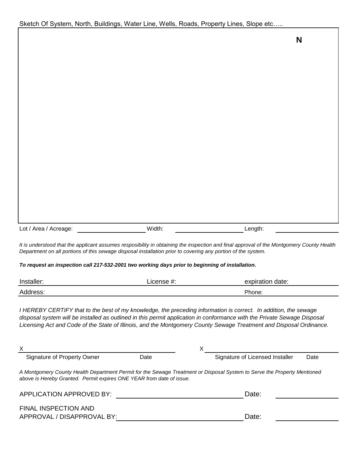|  |  | N |
|--|--|---|
|  |  |   |

Lot / Area / Acreage: Width: Length:

*It is understood that the applicant assumes resposibility in obtaining the inspection and final approval of the Montgomery County Health Department on all portions of this sewage disposal installation prior to covering any portion of the system.* 

*To request an inspection call 217-532-2001 two working days prior to beginning of installation.* 

| Installer: | $\bm{\pi}$ . | <u>avniration</u><br>date:<br>онанон<br>., |
|------------|--------------|--------------------------------------------|
| Address:   |              | Phone:                                     |

*I HEREBY CERTIFY that to the best of my knowledge, the preceding information is correct. In addition, the sewage disposal system will be installed as outlined in this permit application in conformance with the Private Sewage Disposal Licensing Act and Code of the State of Illinois, and the Montgomery County Sewage Treatment and Disposal Ordinance.* 

| X                                                                    |      |                                                                                                                          |      |
|----------------------------------------------------------------------|------|--------------------------------------------------------------------------------------------------------------------------|------|
| <b>Signature of Property Owner</b>                                   | Date | Signature of Licensed Installer                                                                                          | Date |
| above is Hereby Granted. Permit expires ONE YEAR from date of issue. |      | A Montgomery County Health Department Permit for the Sewage Treatment or Disposal System to Serve the Property Mentioned |      |
| APPLICATION APPROVED BY:                                             |      | Date:                                                                                                                    |      |
| FINAL INSPECTION AND<br>APPROVAL / DISAPPROVAL BY:                   |      | Date:                                                                                                                    |      |